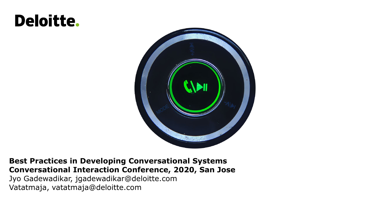# **Deloitte.**



#### **Best Practices in Developing Conversational Systems Conversational Interaction Conference, 2020, San Jose**

Jyo Gadewadikar, jgadewadikar@deloitte.com Vatatmaja, vatatmaja@deloitte.com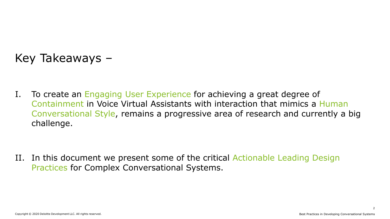## Key Takeaways –

I. To create an Engaging User Experience for achieving a great degree of Containment in Voice Virtual Assistants with interaction that mimics a Human Conversational Style, remains a progressive area of research and currently a big challenge.

II. In this document we present some of the critical Actionable Leading Design Practices for Complex Conversational Systems.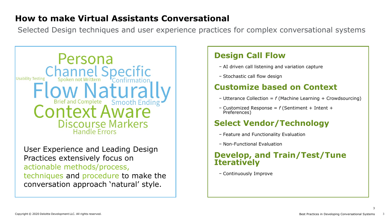#### **How to make Virtual Assistants Conversational**

Selected Design techniques and user experience practices for complex conversational systems



User Experience and Leading Design Practices extensively focus on actionable methods/process, techniques and procedure to make the conversation approach 'natural' style.

#### **Design Call Flow**

- − AI driven call listening and variation capture
- − Stochastic call flow design

#### **Customize based on Context**

- − Utterance Collection = *f* (Machine Learning + Crowdsourcing)
- <sup>−</sup> Customized Response = *<sup>f</sup>* (Sentiment + Intent + Preferences)

### **Select Vendor/Technology**

- − Feature and Functionality Evaluation
- − Non-Functional Evaluation

#### **Develop, and Train/Test/Tune Iteratively**

− Continuously Improve

3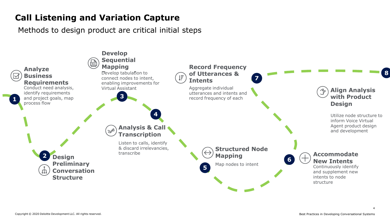### **Call Listening and Variation Capture**

Methods to design product are critical initial steps

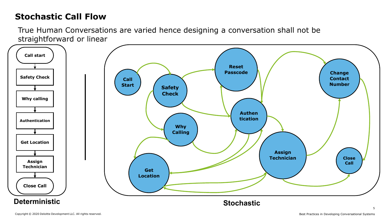### **Stochastic Call Flow**

True Human Conversations are varied hence designing a conversation shall not be straightforward or linear

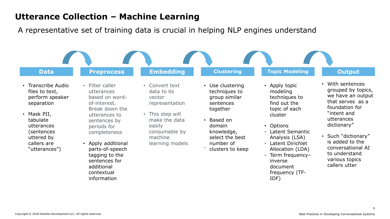#### **Utterance Collection – Machine Learning**

A representative set of training data is crucial in helping NLP engines understand

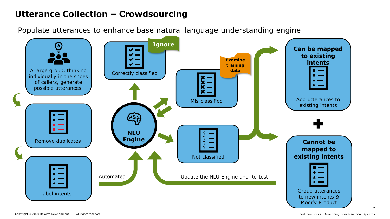### **Utterance Collection – Crowdsourcing**

Populate utterances to enhance base natural language understanding engine

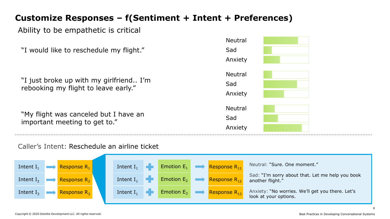### **Customize Responses – f(Sentiment + Intent + Preferences)**

#### Ability to be empathetic is critical

| "I would like to reschedule my flight."                                         | Sad<br>Anxiety                   |
|---------------------------------------------------------------------------------|----------------------------------|
| "I just broke up with my girlfriend I'm<br>rebooking my flight to leave early." | <b>Neutral</b><br>Sad<br>Anxiety |
| "My flight was canceled but I have an<br>important meeting to get to."          | <b>Neutral</b><br>Sad<br>Anxiety |

Caller's Intent: Reschedule an airline ticket



Neutral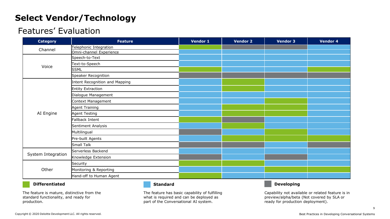### **Select Vendor/Technology**

#### Features' Evaluation

| <b>Category</b>    | <b>Feature</b>                 | Vendor 1 | <b>Vendor 2</b> | <b>Vendor 3</b> | Vendor 4 |
|--------------------|--------------------------------|----------|-----------------|-----------------|----------|
| Channel            | Telephonic Integration         |          |                 |                 |          |
|                    | Omni-channel Experience        |          |                 |                 |          |
| Voice              | Speech-to-Text                 |          |                 |                 |          |
|                    | Text-to-Speech                 |          |                 |                 |          |
|                    | <b>SSML</b>                    |          |                 |                 |          |
|                    | Speaker Recognition            |          |                 |                 |          |
| AI Engine          | Intent Recognition and Mapping |          |                 |                 |          |
|                    | Entity Extraction              |          |                 |                 |          |
|                    | Dialogue Management            |          |                 |                 |          |
|                    | Context Management             |          |                 |                 |          |
|                    | Agent Training                 |          |                 |                 |          |
|                    | Agent Testing                  |          |                 |                 |          |
|                    | Fallback Intent                |          |                 |                 |          |
|                    | Sentiment Analysis             |          |                 |                 |          |
|                    | Multilingual                   |          |                 |                 |          |
|                    | Pre-built Agents               |          |                 |                 |          |
|                    | Small Talk                     |          |                 |                 |          |
| System Integration | Serverless Backend             |          |                 |                 |          |
|                    | Knowledge Extension            |          |                 |                 |          |
| Other              | Security                       |          |                 |                 |          |
|                    | Monitoring & Reporting         |          |                 |                 |          |
|                    | Hand-off to Human Agent        |          |                 |                 |          |

#### **Differentiated Standard Developing**

The feature is mature, distinctive from the standard functionality, and ready for production.

The feature has basic capability of fulfilling what is required and can be deployed as part of the Conversational AI system.

Capability not available or related feature is in preview/alpha/beta (Not covered by SLA or ready for production deployment).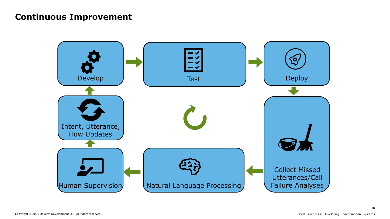#### **Continuous Improvement**